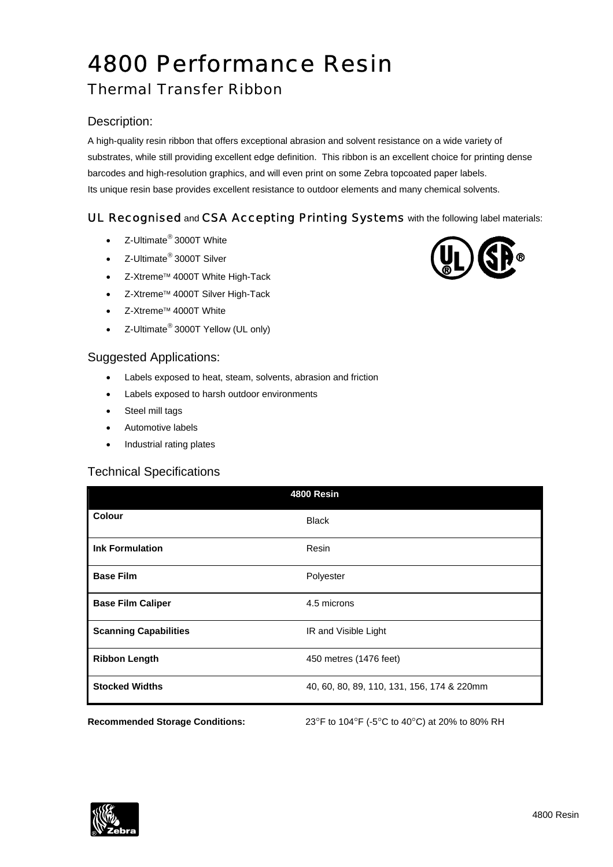# 4800 Performance Resin

# Thermal Transfer Ribbon

## Description:

A high-quality resin ribbon that offers exceptional abrasion and solvent resistance on a wide variety of substrates, while still providing excellent edge definition. This ribbon is an excellent choice for printing dense barcodes and high-resolution graphics, and will even print on some Zebra topcoated paper labels. Its unique resin base provides excellent resistance to outdoor elements and many chemical solvents.

# UL Recognised and CSA Accepting Printing Systems with the following label materials:

- Z-Ultimate® 3000T White
- Z-Ultimate® 3000T Silver
- Z-Xtreme™ 4000T White High-Tack
- Z-Xtreme™ 4000T Silver High-Tack
- Z-Xtreme™ 4000T White
- Z-Ultimate<sup>®</sup> 3000T Yellow (UL only)

#### Suggested Applications:

- Labels exposed to heat, steam, solvents, abrasion and friction
- Labels exposed to harsh outdoor environments
- Steel mill tags
- Automotive labels
- Industrial rating plates

#### Technical Specifications

| 4800 Resin                             |                                               |  |  |
|----------------------------------------|-----------------------------------------------|--|--|
| <b>Colour</b>                          | <b>Black</b>                                  |  |  |
| <b>Ink Formulation</b>                 | Resin                                         |  |  |
| <b>Base Film</b>                       | Polyester                                     |  |  |
| <b>Base Film Caliper</b>               | 4.5 microns                                   |  |  |
| <b>Scanning Capabilities</b>           | IR and Visible Light                          |  |  |
| <b>Ribbon Length</b>                   | 450 metres (1476 feet)                        |  |  |
| <b>Stocked Widths</b>                  | 40, 60, 80, 89, 110, 131, 156, 174 & 220mm    |  |  |
| <b>Recommended Storage Conditions:</b> | 23°F to 104°F (-5°C to 40°C) at 20% to 80% RH |  |  |